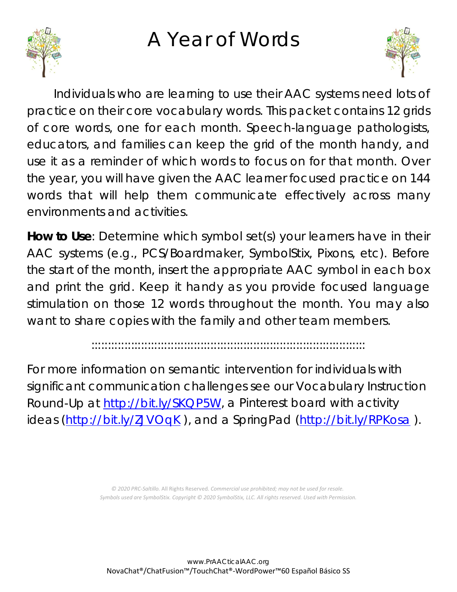## A Year of Words





Individuals who are learning to use their AAC systems need lots of practice on their core vocabulary words. This packet contains 12 grids of core words, one for each month. Speech-language pathologists, educators, and families can keep the grid of the month handy, and use it as a reminder of which words to focus on for that month. Over the year, you will have given the AAC learner focused practice on 144 words that will help them communicate effectively across many environments and activities.

**How to Use**: Determine which symbol set(s) your learners have in their AAC systems (e.g., PCS/Boardmaker, SymbolStix, Pixons, etc). Before the start of the month, insert the appropriate AAC symbol in each box and print the grid. Keep it handy as you provide focused language stimulation on those 12 words throughout the month. You may also want to share copies with the family and other team members.

:::::::::::::::::::::::::::::::::::::::::::::::::::::::::::::::::::::::::::::::::::

For more information on semantic intervention for individuals with significant communication challenges see our Vocabulary Instruction Round-Up at [http://bit.ly/SKQP5W,](http://bit.ly/SKQP5W) a Pinterest board with activity ideas [\(http://bit.ly/ZJVOqK](http://bit.ly/ZJVOqK)), and a SpringPad [\(http://bit.ly/RPKosa](http://bit.ly/RPKosa)).

> *© 2020 PRC-Saltillo.* All Rights Reserved. *Commercial use prohibited; may not be used for resale. Symbols used are SymbolStix. Copyright © 2020 SymbolStix, LLC. All rights reserved. Used with Permission.*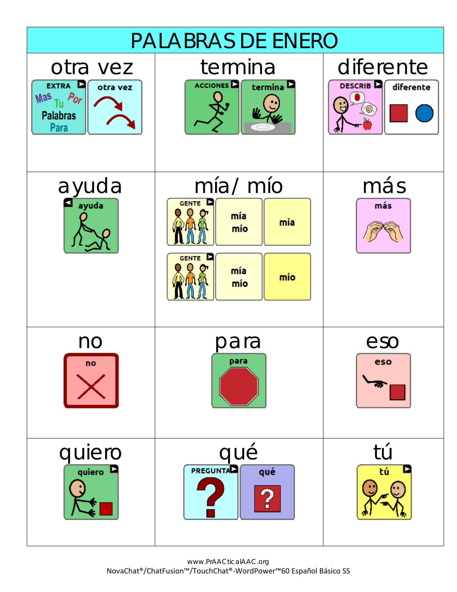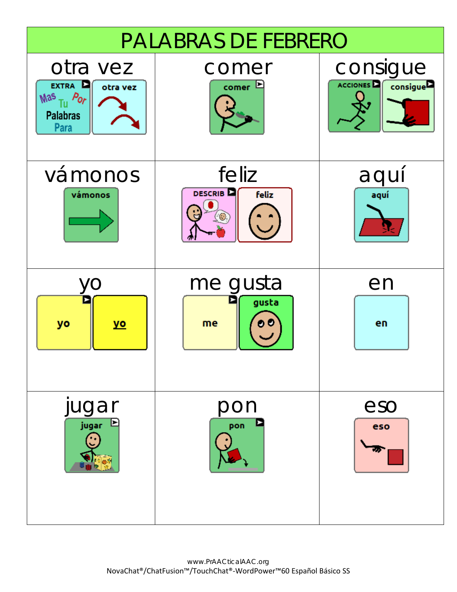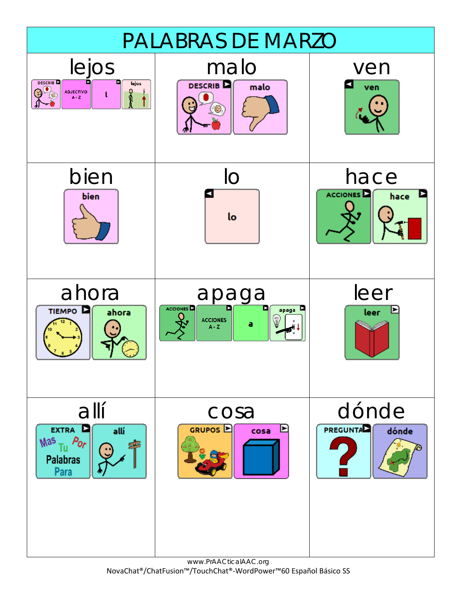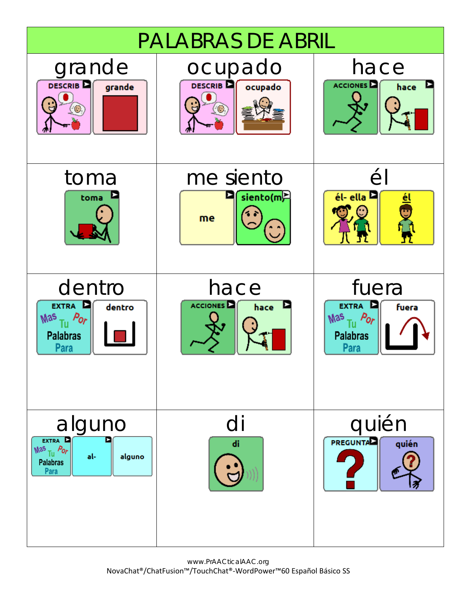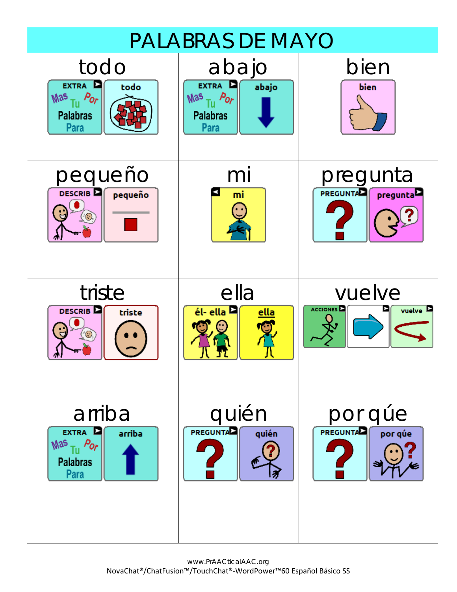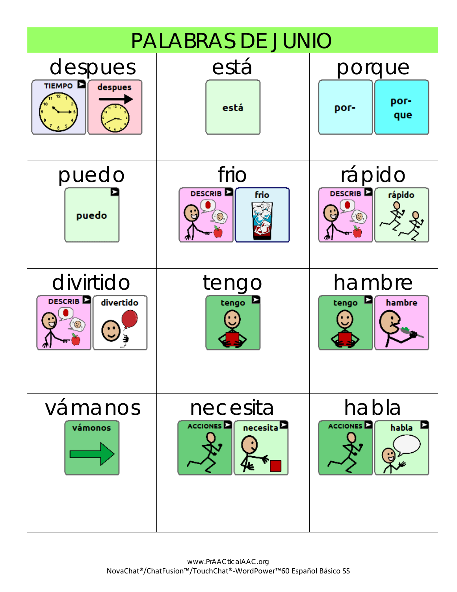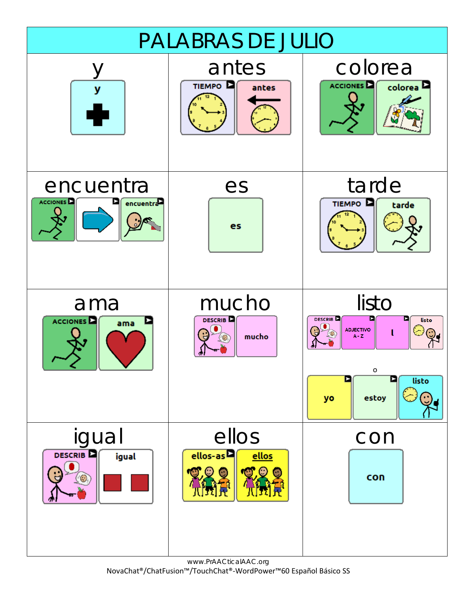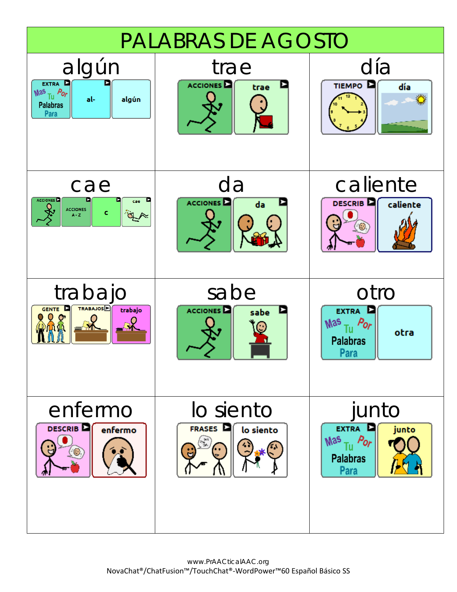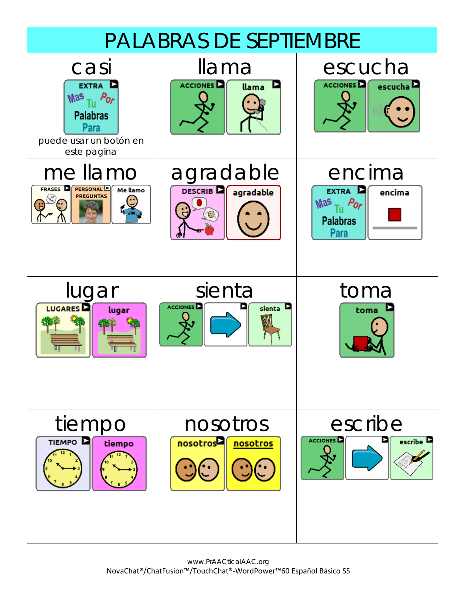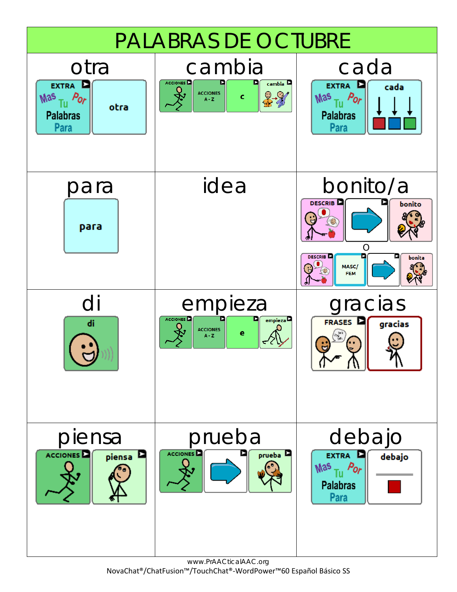

www.PrAACticalAAC.org NovaChat®/ChatFusion™/TouchChat®-WordPower™60 Español Básico SS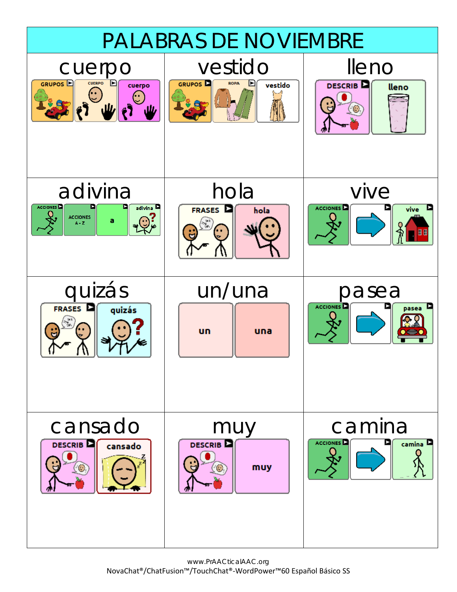